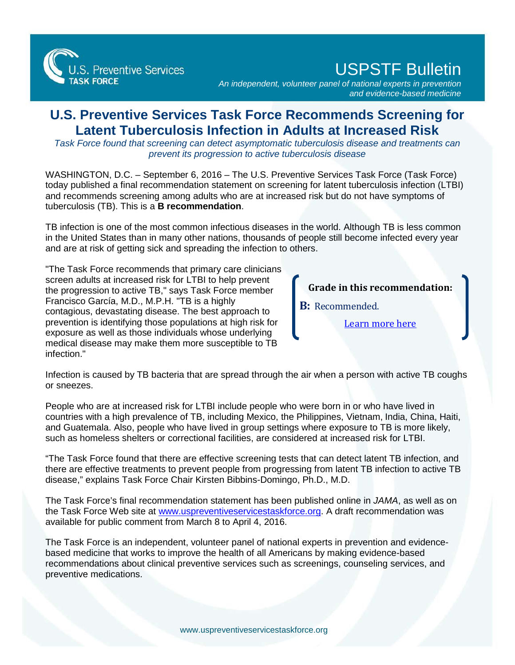

## USPSTF Bulletin

*An independent, volunteer panel of national experts in prevention and evidence-based medicine*

## **U.S. Preventive Services Task Force Recommends Screening for Latent Tuberculosis Infection in Adults at Increased Risk**

*Task Force found that screening can detect asymptomatic tuberculosis disease and treatments can prevent its progression to active tuberculosis disease*

WASHINGTON, D.C. – September 6, 2016 – The U.S. Preventive Services Task Force (Task Force) today published a final recommendation statement on screening for latent tuberculosis infection (LTBI) and recommends screening among adults who are at increased risk but do not have symptoms of tuberculosis (TB). This is a **B recommendation**.

TB infection is one of the most common infectious diseases in the world. Although TB is less common in the United States than in many other nations, thousands of people still become infected every year and are at risk of getting sick and spreading the infection to others.

"The Task Force recommends that primary care clinicians screen adults at increased risk for LTBI to help prevent the progression to active TB," says Task Force member Francisco García, M.D., M.P.H. "TB is a highly contagious, devastating disease. The best approach to prevention is identifying those populations at high risk for exposure as well as those individuals whose underlying medical disease may make them more susceptible to TB infection."

**Grade in this recommendation:**

**B:** Recommended.

[Learn more here](http://www.uspreventiveservicestaskforce.org/Page/Name/grade-definitions)

Infection is caused by TB bacteria that are spread through the air when a person with active TB coughs or sneezes.

People who are at increased risk for LTBI include people who were born in or who have lived in countries with a high prevalence of TB, including Mexico, the Philippines, Vietnam, India, China, Haiti, and Guatemala. Also, people who have lived in group settings where exposure to TB is more likely, such as homeless shelters or correctional facilities, are considered at increased risk for LTBI.

"The Task Force found that there are effective screening tests that can detect latent TB infection, and there are effective treatments to prevent people from progressing from latent TB infection to active TB disease," explains Task Force Chair Kirsten Bibbins-Domingo, Ph.D., M.D.

The Task Force's final recommendation statement has been published online in *JAMA*, as well as on the Task Force Web site at [www.uspreventiveservicestaskforce.org.](http://www.uspreventiveservicestaskforce.org) A draft recommendation was available for public comment from March 8 to April 4, 2016.

The Task Force is an independent, volunteer panel of national experts in prevention and evidencebased medicine that works to improve the health of all Americans by making evidence-based recommendations about clinical preventive services such as screenings, counseling services, and preventive medications.